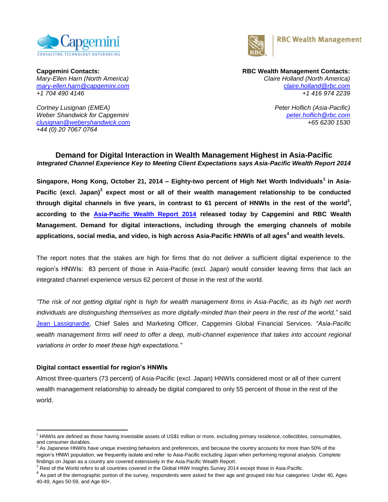



*+1 704 490 4146 +1 416 974 2239*

*Cortney Lusignan (EMEA) Peter Hoflich (Asia-Pacific) Weber Shandwick for Capgemini [peter.hoflich@rbc.com](file:///D:/Office%20Work/Market%20Intelligence/data/198790917/Local%20Settings/Temporary%20Internet%20Files/CANADA/paul.french@rbc.com) [clusignan@webershandwick.com](mailto:clusignan@webershandwick.com) +65 6230 1530 +44 (0) 20 7067 0764*

# **Capgemini Contacts: RBC Wealth Management Contacts:** *Mary-Ellen Harn (North America) Claire Holland (North America) [mary-ellen.harn@capgemini.com](file:///C:/Users/marharn/AppData/Local/Microsoft/Windows/Temporary%20Internet%20Files/Content.Outlook/KZZ5JQPL/mary-ellen.harn@capgemini.com) [claire.holland@rbc.com](file:///C:/Users/marharn/AppData/Local/Microsoft/Windows/Temporary%20Internet%20Files/Content.Outlook/KZZ5JQPL/aishling.cullen@rbc.com)*

### **Demand for Digital Interaction in Wealth Management Highest in Asia-Pacific** *Integrated Channel Experience Key to Meeting Client Expectations says Asia-Pacific Wealth Report 2014*

**Singapore, Hong Kong, October 21, 2014 – Eighty-two percent of High Net Worth Individuals<sup>1</sup> in Asia-**Pacific (excl. Japan)<sup>2</sup> expect most or all of their wealth management relationship to be conducted **through digital channels in five years, in contrast to 61 percent of HNWIs in the rest of the world<sup>3</sup> , according to the [Asia-Pacific Wealth Report 2014](http://www.asiapacificwealthreport.com/) released today by Capgemini and RBC Wealth Management. Demand for digital interactions, including through the emerging channels of mobile applications, social media, and video, is high across Asia-Pacific HNWIs of all ages 4 and wealth levels.** 

The report notes that the stakes are high for firms that do not deliver a sufficient digital experience to the region's HNWIs: 83 percent of those in Asia-Pacific (excl. Japan) would consider leaving firms that lack an integrated channel experience versus 62 percent of those in the rest of the world.

*"The risk of not getting digital right is high for wealth management firms in Asia-Pacific, as its high net worth individuals are distinguishing themselves as more digitally-minded than their peers in the rest of the world,"* said [Jean Lassignardie,](http://www.capgemini.com/experts/financial-services/jean-lassignardie) Chief Sales and Marketing Officer, Capgemini Global Financial Services. *"Asia-Pacific*  wealth management firms will need to offer a deep, multi-channel experience that takes into account regional *variations in order to meet these high expectations."* 

### **Digital contact essential for region's HNWIs**

Almost three-quarters (73 percent) of Asia-Pacific (excl. Japan) HNWIs considered most or all of their current wealth management relationship to already be digital compared to only 55 percent of those in the rest of the world.

 $\overline{a}$ <sup>1</sup> HNWIs are defined as those having investable assets of US\$1 million or more, excluding primary residence, collectibles, consumables, and consumer durables.

As Japanese HNWIs have unique investing behaviors and preferences, and because the country accounts for more than 50% of the region's HNWI population, we frequently isolate and refer to Asia-Pacific excluding Japan when performing regional analysis. Complete findings on Japan as a country are covered extensively in the Asia Pacific Wealth Report.

 $3$  Rest of the World refers to all countries covered in the Global HNW Insights Survey 2014 except those in Asia-Pacific.

 $4\,$ As part of the demographic portion of the survey, respondents were asked for their age and grouped into four categories: Under 40, Ages 40-49, Ages 50-59, and Age 60+.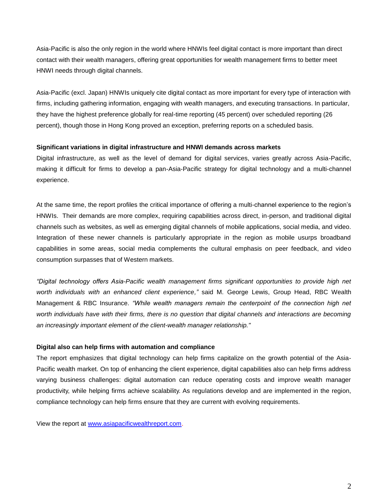Asia-Pacific is also the only region in the world where HNWIs feel digital contact is more important than direct contact with their wealth managers, offering great opportunities for wealth management firms to better meet HNWI needs through digital channels.

Asia-Pacific (excl. Japan) HNWIs uniquely cite digital contact as more important for every type of interaction with firms, including gathering information, engaging with wealth managers, and executing transactions. In particular, they have the highest preference globally for real-time reporting (45 percent) over scheduled reporting (26 percent), though those in Hong Kong proved an exception, preferring reports on a scheduled basis.

#### **Significant variations in digital infrastructure and HNWI demands across markets**

Digital infrastructure, as well as the level of demand for digital services, varies greatly across Asia-Pacific, making it difficult for firms to develop a pan-Asia-Pacific strategy for digital technology and a multi-channel experience.

At the same time, the report profiles the critical importance of offering a multi-channel experience to the region's HNWIs. Their demands are more complex, requiring capabilities across direct, in-person, and traditional digital channels such as websites, as well as emerging digital channels of mobile applications, social media, and video. Integration of these newer channels is particularly appropriate in the region as mobile usurps broadband capabilities in some areas, social media complements the cultural emphasis on peer feedback, and video consumption surpasses that of Western markets.

*"Digital technology offers Asia-Pacific wealth management firms significant opportunities to provide high net worth individuals with an enhanced client experience,"* said M. George Lewis, Group Head, RBC Wealth Management & RBC Insurance. *"While wealth managers remain the centerpoint of the connection high net*  worth individuals have with their firms, there is no question that digital channels and interactions are becoming *an increasingly important element of the client-wealth manager relationship."*

### **Digital also can help firms with automation and compliance**

The report emphasizes that digital technology can help firms capitalize on the growth potential of the Asia-Pacific wealth market. On top of enhancing the client experience, digital capabilities also can help firms address varying business challenges: digital automation can reduce operating costs and improve wealth manager productivity, while helping firms achieve scalability. As regulations develop and are implemented in the region, compliance technology can help firms ensure that they are current with evolving requirements.

View the report at [www.asiapacificwealthreport.com.](http://www.asiapacificwealthreport.com/)